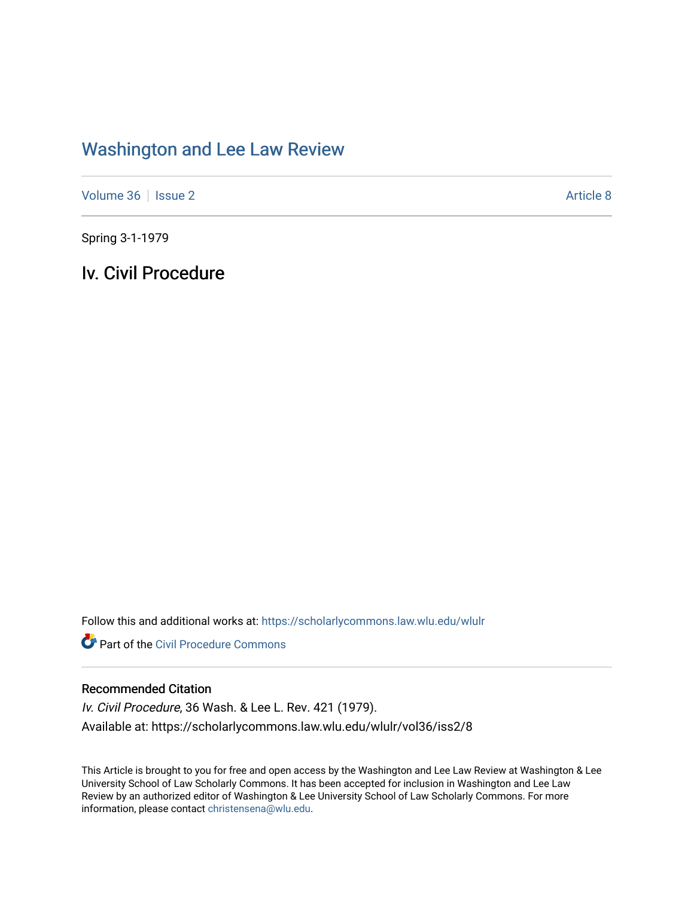## [Washington and Lee Law Review](https://scholarlycommons.law.wlu.edu/wlulr)

[Volume 36](https://scholarlycommons.law.wlu.edu/wlulr/vol36) | [Issue 2](https://scholarlycommons.law.wlu.edu/wlulr/vol36/iss2) Article 8

Spring 3-1-1979

Iv. Civil Procedure

Follow this and additional works at: [https://scholarlycommons.law.wlu.edu/wlulr](https://scholarlycommons.law.wlu.edu/wlulr?utm_source=scholarlycommons.law.wlu.edu%2Fwlulr%2Fvol36%2Fiss2%2F8&utm_medium=PDF&utm_campaign=PDFCoverPages) 

**Part of the Civil Procedure Commons** 

## Recommended Citation

Iv. Civil Procedure, 36 Wash. & Lee L. Rev. 421 (1979). Available at: https://scholarlycommons.law.wlu.edu/wlulr/vol36/iss2/8

This Article is brought to you for free and open access by the Washington and Lee Law Review at Washington & Lee University School of Law Scholarly Commons. It has been accepted for inclusion in Washington and Lee Law Review by an authorized editor of Washington & Lee University School of Law Scholarly Commons. For more information, please contact [christensena@wlu.edu](mailto:christensena@wlu.edu).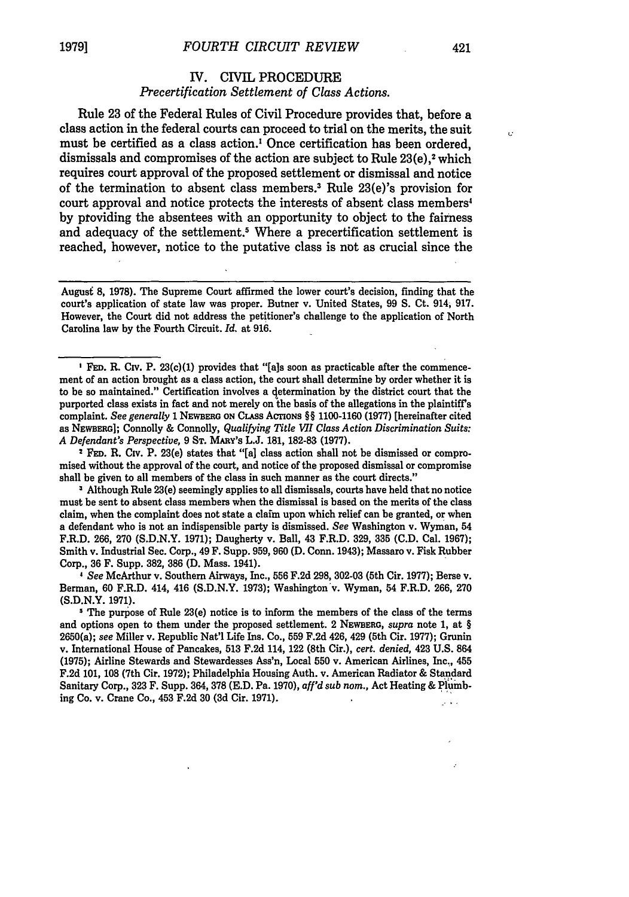## IV. CIVIL PROCEDURE *Precertification Settlement of Class Actions.*

Rule 23 of the Federal Rules of Civil Procedure provides that, before a class action in the federal courts can proceed to trial on the merits, the suit must be certified as a class action.' Once certification has been ordered, dismissals and compromises of the action are subject to Rule 23(e),<sup>2</sup> which requires court approval of the proposed settlement or dismissal and notice of the termination to absent class members.3 Rule 23(e)'s provision for court approval and notice protects the interests of absent class members' by providing the absentees with an opportunity to object to the fairness and adequacy of the settlement.<sup>5</sup> Where a precertification settlement is reached, however, notice to the putative class is not as crucial since the

August **8, 1978).** The Supreme Court affirmed the lower court's decision, finding that the court's application of state law was proper. Butner v. United States, **99 S.** Ct. 914, **917.** However, the Court did not address the petitioner's challenge to the application of North Carolina law **by** the Fourth Circuit. *Id.* at **916.**

**FED.** R. Civ. P. 23(c)(1) provides that **"[als** soon as practicable after the commencement of an action brought as a class action, the court shall determine **by** order whether it is to be so maintained." Certification involves a qetermination **by** the district court that the purported class exists in fact and not merely on the basis of the allegations in the plaintiff's complaint. *See generally* **1** NEWBERG **ON** CLASS **ACTIONS** §§ **1100-1160 (1977)** [hereinafter cited as NEWsER]; Connolly & Connolly, *Qualifying Title WI Class Action Discrimination Suits: A Defendant's Perspective,* **9 ST.** MARY'S **L.J. 181, 182-83 (1977).**

2 **FED.** R. Civ. P. 23(e) states that "[a] class action shall not be dismissed or compromised without the approval of the court, and notice of the proposed dismissal or compromise shall be given to all members of the class in such manner as the court directs."

**3** Although Rule 23(e) seemingly applies to all dismissals, courts have held that no notice must be sent to absent class members when the dismissal is based on the merits of the class claim, when the complaint does not state a claim upon which relief can be granted, or when a defendant who is not an indispensible party is dismissed. *See* Washington v. Wyman, 54 F.R.D. **266, 270 (S.D.N.Y. 1971);** Daugherty v. Ball, 43 F.R.D. **329, 335 (C.D.** Cal. **1967);** Smith v. Industrial Sec. Corp., 49 F. Supp. **959, 960 (D.** Conn. 1943); Massaro v. Fisk Rubber Corp., **36** F. Supp. **382, 386 (D.** Mass. 1941).

*4 See* McArthur v. Southern Airways, Inc., **556 F.2d 298, 302-03** (5th Cir. **1977);** Berse v. Berman, **60** F.R.D. 414, 416 **(S.D.N.Y. 1973);** Washington'v. Wyman, 54 F.R.D. **266, 270 (S.D.N.Y. 1971).**

The purpose of Rule 23(e) notice is to inform the members of the class of the terms and options open to them under the proposed settlement. 2 **NEWBERG,** *supra* note **1,** at § 2650(a); *see* Miller v. Republic **Nat'l** Life Ins. Co., **559 F.2d** 426, 429 (5th Cir. **1977);** Grunin v. International House of Pancakes, **513 F.2d** 114, 122 (8th Cir.), *cert. denied,* 423 **U.S.** 864 **(1975);** Airline Stewards and Stewardesses Ass'n, Local **550** v. American Airlines, Inc., 455 **F.2d 101, 108** (7th Cir. **1972);** Philadelphia Housing Auth. v. American Radiator **&** Standard Sanitary Corp., **323** F. Supp. 364, **378 (E.D.** Pa. **1970),** *aff'd sub nom.,* Act Heating **&** Plumbing Co. v. Crane Co., 453 **F.2d 30 (3d** Cir. **1971).**

Ō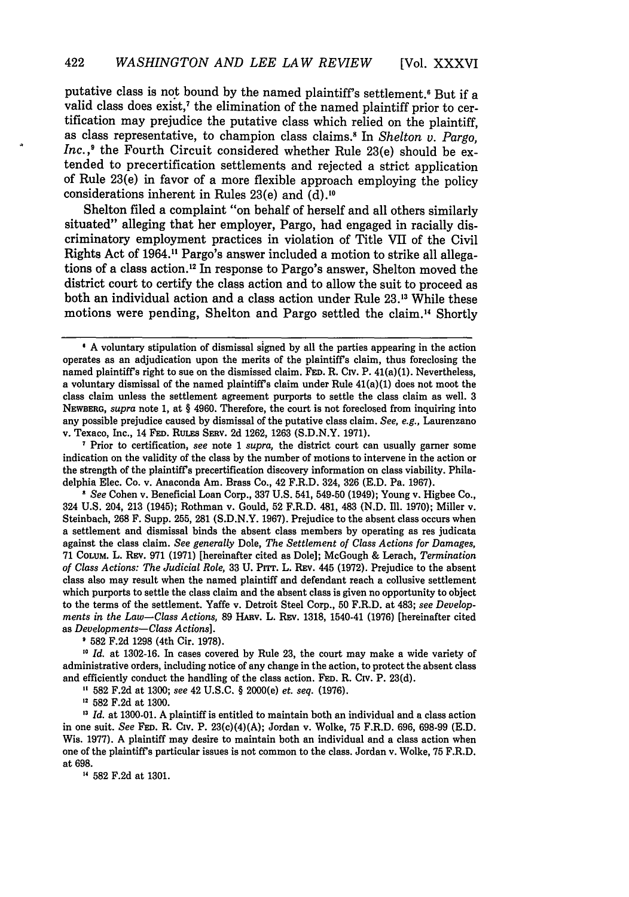putative class is not bound by the named plaintiff's settlement.<sup>6</sup> But if a valid class does exist,' the elimination of the named plaintiff prior to certification may prejudice the putative class which relied on the plaintiff, as class representative, to champion class claims.<sup>8</sup> In *Shelton v. Pargo*, *Inc.*,<sup>9</sup> the Fourth Circuit considered whether Rule 23(e) should be extended to precertification settlements and rejected a strict application of Rule 23(e) in favor of a more flexible approach employing the policy considerations inherent in Rules 23(e) and (d).10

Shelton filed a complaint "on behalf of herself and all others similarly situated" alleging that her employer, Pargo, had engaged in racially discriminatory employment practices in violation of Title VII of the Civil Rights Act of 1964.11 Pargo's answer included a motion to strike all allegations of a class action.'2 In response to Pargo's answer, Shelton moved the district court to certify the class action and to allow the suit to proceed as both an individual action and a class action under Rule 23.1' While these motions were pending, Shelton and Pargo settled the claim." Shortly

Prior to certification, *see* note 1 *supra,* the district court can usually garner some indication on the validity of the class by the number of motions to intervene in the action or the strength of the plaintiffs precertification discovery information on class viability. Philadelphia Elec. Co. v. Anaconda Am. Brass Co., 42 F.R.D. 324, 326 (E.D. Pa. 1967).

*1 See* Cohen v. Beneficial Loan Corp., **337** U.S. 541, 549-50 (1949); Young v. Higbee Co., 324 U.S. 204, 213 (1945); Rothman v. Gould, 52 F.R.D. 481, 483 **(N.D.** 1li. 1970); Miller v. Steinbach, 268 F. Supp. 255, 281 (S.D.N.Y. 1967). Prejudice to the absent class occurs when a settlement and dismissal binds the absent class members by operating as res judicata against the class claim. *See generally* Dole, *The Settlement of Class Actions for Damages,* 71 COLUM. L. Rav. 971 (1971) [hereinafter cited as Dole]; McGough & Lerach, *Termination of Class Actions: The Judicial Role,* 33 U. Prrr. L. Rav. 445 (1972). Prejudice to the absent class also may result when the named plaintiff and defendant reach a collusive settlement which purports to settle the class claim and the absent class is given no opportunity to object to the terms of the settlement. Yaffe v. Detroit Steel Corp., 50 F.R.D. at 483; *see Developments in the Law-Class Actions,* 89 HARv. L. Rav. 1318, 1540-41 (1976) [hereinafter cited as *Developments- Class Actions].*

582 F.2d 1298 (4th Cir. 1978).

**<sup>10</sup>***Id.* at 1302-16. In cases covered by Rule 23, the court may make a wide variety of administrative orders, including notice of any change in the action, to protect the absent class and efficiently conduct the handling of the class action. **FED.** R. Civ. P. 23(d).

**"** 582 F.2d at 1300; *see* 42 U.S.C. § 2000(e) *et. seq.* (1976).

**,2** 582 F.2d at 1300.

<sup>13</sup> *Id.* at 1300-01. A plaintiff is entitled to maintain both an individual and a class action in one suit. *See* **FED.** R. Civ. P. 23(c)(4)(A); Jordan v. Wolke, 75 F.R.D. 696, 698-99 (E.D. Wis. 1977). A plaintiff may desire to maintain both an individual and a class action when one of the plaintiff's particular issues is not common to the class. Jordan v. Wolke, 75 F.R.D. at **698.**

<sup>14</sup> 582 F.2d at 1301.

**I A** voluntary stipulation of dismissal signed by all the parties appearing in the action operates as an adjudication upon the merits of the plaintiffs claim, thus foreclosing the named plaintiffs right to sue on the dismissed claim. **FED.** R. Civ. P. 41(a)(1). Nevertheless, a voluntary dismissal of the named plaintiff's claim under Rule 41(a)(1) does not moot the class claim unless the settlement agreement purports to settle the class claim as well. 3 **NEwBERG,** *supra* note 1, at § 4960. Therefore, the court is not foreclosed from inquiring into any possible prejudice caused by dismissal of the putative class claim. *See, e.g.,* Laurenzano v. Texaco, Inc., 14 **FED. RuLES SERV.** 2d 1262, 1263 (S.D.N.Y. 1971).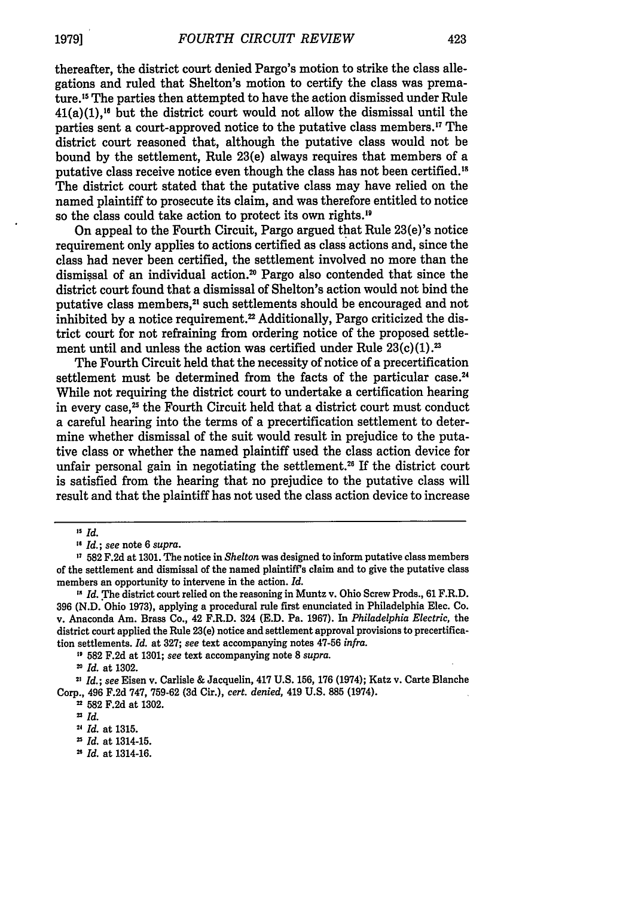thereafter, the district court denied Pargo's motion to strike the class allegations and ruled that Shelton's motion to certify the class was premature."5 The parties then attempted to have the action dismissed under Rule  $41(a)(1)$ ,<sup>16</sup> but the district court would not allow the dismissal until the parties sent a court-approved notice to the putative class members.'7 The district court reasoned that, although the putative class would not be bound by the settlement, Rule 23(e) always requires that members of a putative class receive notice even though the class has not been certified.'<sup>8</sup> The district court stated that the putative class may have relied on the named plaintiff to prosecute its claim, and was therefore entitled to notice so the class could take action to protect its own rights.'<sup>9</sup>

On appeal to the Fourth Circuit, Pargo argued that Rule 23(e)'s notice requirement only applies to actions certified as class actions and, since the class had never been certified, the settlement involved no more than the dismissal of an individual action.<sup>20</sup> Pargo also contended that since the district court found that a dismissal of Shelton's action would not bind the putative class members,<sup>21</sup> such settlements should be encouraged and not inhibited by a notice requirement.<sup>22</sup> Additionally, Pargo criticized the district court for not refraining from ordering notice of the proposed settlement until and unless the action was certified under Rule  $23(c)(1).^{23}$ 

The Fourth Circuit held that the necessity of notice of a precertification settlement must be determined from the facts of the particular case.<sup>24</sup> While not requiring the district court to undertake a certification hearing in every case,<sup>25</sup> the Fourth Circuit held that a district court must conduct a careful hearing into the terms of a precertification settlement to determine whether dismissal of the suit would result in prejudice to the putative class or whether the named plaintiff used the class action device for unfair personal gain in negotiating the settlement.<sup>26</sup> If the district court is satisfied from the hearing that no prejudice to the putative class will result and that the plaintiff has not used the class action device to increase

**"** 582 F.2d at 1301; *see* text accompanying note 8 *supra.*

*Id.* at 1314-16.

**<sup>&#</sup>x27;5** /d.

*<sup>&</sup>quot;Id.; see* note 6 *supra.*

<sup>,7 582</sup> F.2d at 1301. The notice in *Shelton* was designed to inform putative class members of the settlement and dismissal of the named plaintiff's claim and to give the putative class members an opportunity to intervene in the action. *Id.*

<sup>&</sup>lt;sup>18</sup> *Id.* The district court relied on the reasoning in Muntz v. Ohio Screw Prods., 61 F.R.D. **396** (N.D. Ohio 1973), applying a procedural rule first enunciated in Philadelphia Elec. Co. v. Anaconda Am. Brass Co., 42 F.R.D. 324 (E.D. Pa. 1967). In *Philadelphia Electric,* the district court applied the Rule 23(e) notice and settlement approval provisions to precertification settlements. *Id.* at 327; see text accompanying notes 47-56 *infra.*

<sup>2</sup>*Id.* at 1302.

**<sup>21</sup>** *Id.; see* Eisen v. Carlisle & Jacquelin, 417 U.S. 156, 176 (1974); Katz v. Carte Blanche Corp., 496 F.2d 747, 759-62 (3d Cir.), *cert. denied,* 419 U.S. 885 (1974).

<sup>21 582</sup> F.2d at 1302.

*SId.*

**<sup>2</sup>***Id.* at 1315.

**n** *Id.* at 1314-15.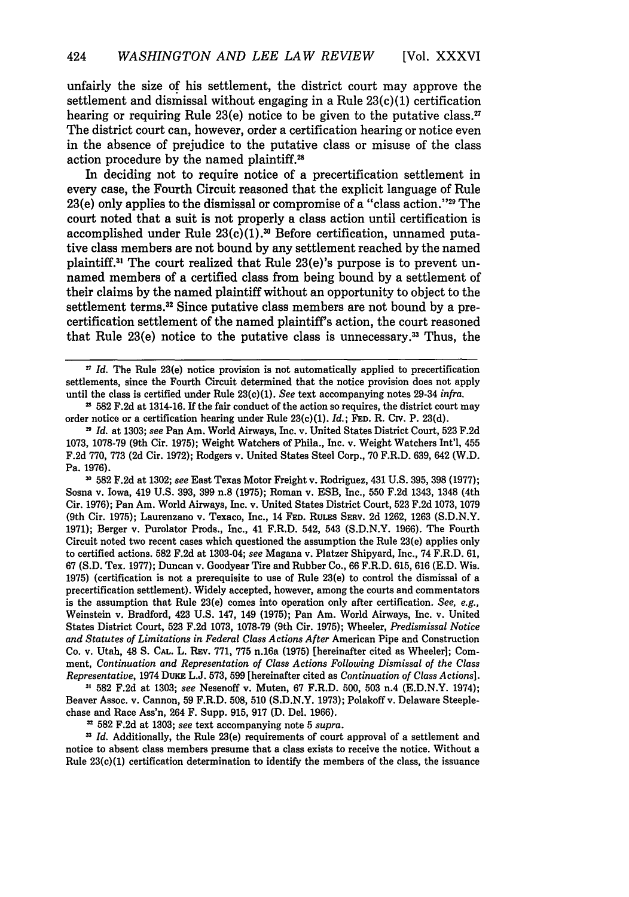unfairly the size of his settlement, the district court may approve the settlement and dismissal without engaging in a Rule  $23(c)(1)$  certification hearing or requiring Rule 23(e) notice to be given to the putative class.<sup>27</sup> The district court can, however, order a certification hearing or notice even in the absence of prejudice to the putative class or misuse of the class action procedure by the named plaintiff.<sup>28</sup>

In deciding not to require notice of a precertification settlement in every case, the Fourth Circuit reasoned that the explicit language of Rule  $23(e)$  only applies to the dismissal or compromise of a "class action."<sup>29</sup> The court noted that a suit is not properly a class action until certification is accomplished under Rule  $23(c)(1).^{30}$  Before certification, unnamed putative class members are not bound by any settlement reached by the named plaintiff.<sup>31</sup> The court realized that Rule 23(e)'s purpose is to prevent unnamed members of a certified class from being bound by a settlement of their claims by the named plaintiff without an opportunity to object to the settlement terms.<sup>32</sup> Since putative class members are not bound by a precertification settlement of the named plaintiff's action, the court reasoned that Rule  $23(e)$  notice to the putative class is unnecessary.<sup>33</sup> Thus, the

**31 582 F.2d** at **1302;** *see* East Texas Motor Freight v. Rodriguez, 431 **U.S. 395, 398 (1977);** Sosna v. Iowa, 419 **U.S. 393, 399** n.8 **(1975);** Roman v. **ESB,** Inc., **550 F.2d** 1343, 1348 (4th Cir. **1976);** Pan Am. World Airways, Inc. v. United States District Court, **523 F.2d 1073, 1079** (9th Cir. **1975);** Laurenzano v. Texaco, Inc., 14 **FED.** RULEs SERv. 2d **1262,** 1263 **(S.D.N.Y. 1971);** Berger v. Purolator Prods., Inc., 41 F.R.D. 542, 543 **(S.D.N.Y.** 1966). The Fourth Circuit noted two recent cases which questioned the assumption the Rule 23(e) applies only to certified actions. **582 F.2d** at 1303-04; *see* Magana v. Platzer Shipyard, Inc., 74 F.R.D. **61, 67 (S.D.** Tex. **1977);** Duncan v. Goodyear Tire and Rubber Co., 66 F.R.D. 615, 616 **(E.D.** Wis. **1975)** (certification is not a prerequisite to use of Rule 23(e) to control the dismissal of a precertification settlement). Widely accepted, however, among the courts and commentators is the assumption that Rule 23(e) comes into operation only after certification. *See, e.g.,* Weinstein v. Bradford, 423 **U.S.** 147, 149 **(1975);** Pan Am. World Airways, Inc. v. United States District Court, **523 F.2d 1073, 1078-79** (9th Cir. **1975);** Wheeler, *Predismissal Notice and Statutes of Limitations in Federal Class Actions After* American Pipe and Construction Co. v. Utah, 48 **S.** CAL. L. REv. 771, 775 n.16a (1975) [hereinafter cited as Wheeler]; Comment, *Continuation and Representation of Class Actions Following Dismissal of the Class Representative,* 1974 DuKE L.J. 573, 599 [hereinafter cited as *Continuation of Class Actions].*

**31** 582 F.2d at 1303; *see* Nesenoff v. Muten, 67 F.R.D. 500, 503 n.4 (E.D.N.Y. 1974); Beaver Assoc. v. Cannon, 59 F.R.D. 508, 510 (S.D.N.Y. 1973); Polakoff v. Delaware Steeplechase and Race Ass'n, 264 F. Supp. 915, 917 (D. Del. 1966).

**'1** 582 F.2d at 1303; *see* text accompanying note 5 *supra.*

*Id.* Additionally, the Rule 23(e) requirements of court approval of a settlement and notice to absent class members presume that a class exists to receive the notice. Without a Rule 23(c)(1) certification determination to identify the members of the class, the issuance

<sup>2</sup> *Id.* The Rule 23(e) notice provision is not automatically applied to precertification settlements, since the Fourth Circuit determined that the notice provision does not apply until the class is certified under Rule 23(c)(1). *See* text accompanying notes 29-34 **infra.**

**<sup>11 582</sup> F.2d** at 1314-16. **If** the fair conduct of the action so requires, the district court may order notice or a certification hearing under Rule 23(c)(1). *Id.;* **FED.** R. Civ. P. **23(d).**

**<sup>21</sup>***Id.* at **1303;** *see* Pan Am. World Airways, Inc. v. United States District Court, **523 F.2d 1073, 1078-79** (9th Cir. **1975);** Weight Watchers of Phila., Inc. v. Weight Watchers Int'l, 455 **F.2d 770, 773 (2d** Cir. **1972);** Rodgers v. United States Steel Corp., **70** F.R.D. **639,** 642 (W.D. Pa. **1976).**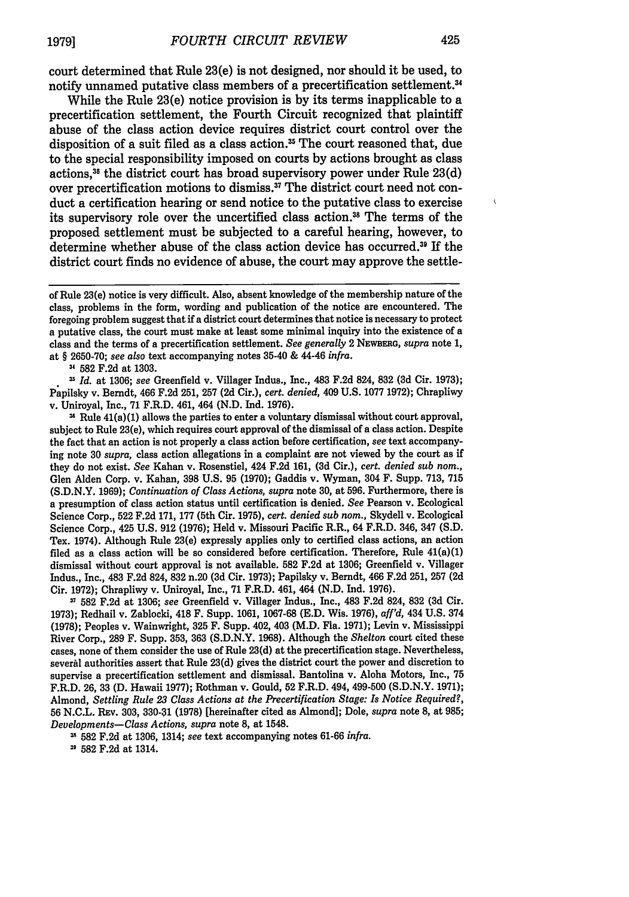court determined that Rule 23(e) is not designed, nor should it be used, to notify unnamed putative class members of a precertification settlement.<sup>34</sup>

While the Rule 23(e) notice provision is by its terms inapplicable to a precertification settlement, the Fourth Circuit recognized that plaintiff abuse of the class action device requires district court control over the disposition of a suit filed as a class action.<sup>35</sup> The court reasoned that, due to the special responsibility imposed on courts by actions brought as class actions,3 the district court has broad supervisory power under Rule 23(d) over precertification motions to dismiss." The district court need not conduct a certification hearing or send notice to the putative class to exercise its supervisory role over the uncertified class action.<sup>38</sup> The terms of the proposed settlement must be subjected to a careful hearing, however, to determine whether abuse of the class action device has occurred. 9 If the district court finds no evidence of abuse, the court may approve the settle-

u **582** F.2d at 1303.

*Is Id.* at 1306; *see* Greenfield v. Villager Indus., Inc., 483 F.2d 824, **832 (3d** Cir. 1973); Papilsky v. Berndt, 466 F.2d 251, 257 **(2d** Cir.), *cert. denied,* 409 U.S. 1077 1972); Chrapliwy v. Uniroyal, Inc., 71 F.R.D. 461, 464 (N.D. Ind. 1976).

**14** Rule 41(a)(1) allows the parties to enter a voluntary dismissal without court approval, subject to Rule 23(e), which requires court approval of the dismissal of a class action. Despite the fact that an action is not properly a class action before certification, *see* text accompanying note 30 *supra,* class action allegations in a complaint are not viewed by the court as if they do not exist. *See* Kahan v. Rosenstiel, 424 F.2d 161, **(3d** Cir.), *cert. denied sub nom.,* Glen Alden Corp. v. Kahan, 398 U.S. 95 (1970); Gaddis v. Wyman, 304 F. Supp. 713, 715 (S.D.N.Y. 1969); *Continuation of Class Actions, supra* note **30,** at 596. Furthermore, there is a presumption of class action status until certification is denied. *See* Pearson v. Ecological Science Corp., 522 F.2d 171, 177 (5th Cir. 1975), *cert. denied sub nom.,* Skydell v. Ecological Science Corp., 425 U.S. 912 (1976); Held v. Missouri Pacific R.R., 64 F.R.D. 346, 347 **(S.D.** Tex. 1974). Although Rule 23(e) expressly applies only to certified class actions, an action filed as a class action will be so considered before certification. Therefore, Rule  $41(a)(1)$ dismissal without court approval is not available. **582** F.2d at 1306; Greenfield v. Villager Indus., Inc., 483 F.2d 824, 832 n.20 **(3d** Cir. 1973); Papilsky v. Berndt, 466 F.2d 251, 257 (2d Cir. 1972); Chrapliwy v. Uniroyal, Inc., 71 F.R.D. 461, 464 (N.D. Ind. 1976).

**<sup>31</sup>**582 F.2d at 1306; *see* Greenfield v. Villager Indus., Inc., 483 F.2d 824, **832** (3d Cir. 1973); Redhail v. Zablocki, 418 F. Supp. 1061, 1067-68 (E.D. Wis. 1976), *affl'd,* 434 U.S. 374 (1978); Peoples v. Wainwright, **325** F. Supp. 402, 403 (M.D. Fla. 1971); Levin v. Mississippi River Corp., 289 F. Supp. 353, 363 (S.D.N.Y. 1968). Although the *Shelton* court cited these cases, none of them consider the use of Rule **23(d)** at the precertification stage. Nevertheless, several authorities assert that Rule 23(d) gives the district court the power and discretion to supervise a precertification settlement and dismissal. Bantolina v. Aloha Motors, Inc., 75 F.R.D. 26, **33** (D. Hawaii 1977); Rothman v. Gould, 52 F.R.D. 494, 499-500 (S.D.N.Y. 1971); Almond, *Settling Rule 23 Class Actions at the Precertification Stage: Is Notice Required?,* 56 N.C.L. REv. **303, 330-\$1** (1978) [hereinafter cited as Almond]; Dole, *supra* note 8, at 985; *Developments-Class Actions, supra* note 8, at 1548.

\*' 582 F.2d at **1306,** 1314; *see* text accompanying notes 61-66 *infra.*

**3'** 582 F.2d at 1314.

**1979]**

 $\mathbf{I}$ 

of Rule 23(e) notice is very difficult. Also, absent knowledge of the membership nature of the class, problems in the form, wording and publication of the notice are encountered. The foregoing problem suggest that if a district court determines that notice is necessary to protect a putative class, the court must make at least some minimal inquiry into the existence of a class and the terms of a precertification settlement. *See generally* 2 NEWBERG, *supra* note 1, at § 2650-70; *see also* text accompanying notes 35-40 & 44-46 *infra.*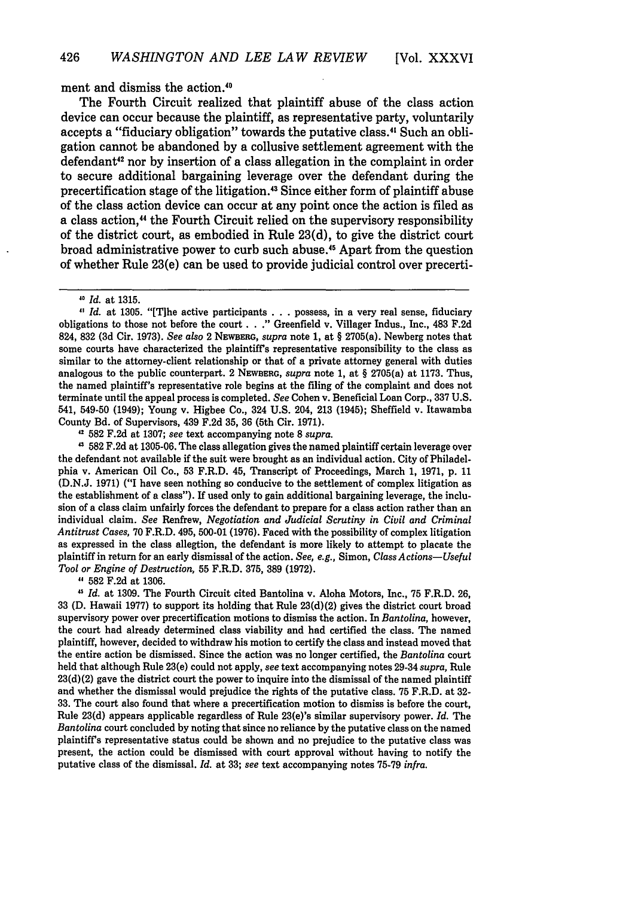ment and dismiss the action.<sup>40</sup>

The Fourth Circuit realized that plaintiff abuse of the class action device can occur because the plaintiff, as representative party, voluntarily accepts a "fiduciary obligation" towards the putative class.<sup>41</sup> Such an obligation cannot be abandoned by a collusive settlement agreement with the defendant<sup>42</sup> nor by insertion of a class allegation in the complaint in order to secure additional bargaining leverage over the defendant during the precertification stage of the litigation.<sup>43</sup> Since either form of plaintiff abuse of the class action device can occur at any point once the action is filed as a class action,<sup>44</sup> the Fourth Circuit relied on the supervisory responsibility of the district court, as embodied in Rule 23(d), to give the district court broad administrative power to curb such abuse." Apart from the question of whether Rule 23(e) can be used to provide judicial control over precerti-

*Id.* at **1305.** "[Tihe active participants **. . .** possess, in a very real sense, fiduciary obligations to those not before the court **. . ."** Greenfield v. Villager Indus., Inc., 483 **F.2d** 824, **832 (3d** Cir. **1973).** *See also* 2 NEWBERG, *supra* note **1,** at § 2705(a). Newberg notes that some courts have characterized the plaintiff's representative responsibility to the class as similar to the attorney-client relationship or that of a private attorney general with duties analogous to the public counterpart. 2 **NEWBERG,** *supra* note **1,** at § 2705(a) at **1173.** Thus, the named plaintiff's representative role begins at the filing of the complaint and does not terminate until the appeal process is completed. *See* Cohen v. Beneficial Loan Corp., **337 U.S.** 541, 549-50 (1949); Young v. Higbee Co., 324 **U.S.** 204, **213** (1945); Sheffield v. Itawamba County Bd. of Supervisors, 439 **F.2d 35, 36** (5th Cir. **1971).**

**42 582 F.2d** at **1307;** *see* text accompanying note **8** *supra.*

, **582 F.2d** at **1305-06.** The class allegation gives the named plaintiff certain leverage over the defendant not available if the suit were brought as an individual action. City of Philadelphia v. American Oil Co., **53** F.R.D. 45, Transcript of Proceedings, March **1, 1971, p.** 11 **(D.N.J. 1971) ("I** have seen nothing so conducive to the settlement of complex litigation as the establishment of a class"). If used only to gain additional bargaining leverage, the inclusion of a class claim unfairly forces the defendant to prepare for a class action rather than an individual claim. *See* Renfrew, *Negotiation and Judicial Scrutiny in Civil and Criminal Antitrust Cases,* 70 F.R.D. 495, 500-01 (1976). Faced with the possibility of complex litigation as expressed in the class allegtion, the defendant is more likely to attempt to placate the plaintiff in return for an early dismissal of the action. *See, e.g.,* Simon, *Class Actions-Useful Tool or Engine of Destruction,* 55 F.R.D. 375, 389 (1972).

**582** F.2d at 1306.

*,5 Id.* at 1309. The Fourth Circuit cited Bantolina v. Aloha Motors, Inc., 75 F.R.D. 26, 33 **(D.** Hawaii 1977) to support its holding that Rule 23(d)(2) gives the district court broad supervisory power over precertification motions to dismiss the action. In *Bantolina,* however, the court had already determined class viability and had certified the class. The named plaintiff, however, decided to withdraw his motion to certify the class and instead moved that the entire action be dismissed. Since the action was no longer certified, the *Bantolina* court held that although Rule 23(e) could not apply, *see* text accompanying notes 29-34 *supra,* Rule  $23(d)(2)$  gave the district court the power to inquire into the dismissal of the named plaintiff and whether the dismissal would prejudice the rights of the putative class. 75 F.R.D. at **32-** 33. The court also found that where a precertification motion to dismiss is before the court, Rule **23(d)** appears applicable regardless of Rule 23(e)'s similar supervisory power. *Id.* The *Bantolina* court concluded by noting that since no reliance by the putative class on the named plaintiff's representative status could be shown and no prejudice to the putative class was present, the action could be dismissed with court approval without having to notify the putative class of the dismissal. *Id.* at 33; *see* text accompanying notes 75-79 *infra.*

*o Id.* at 1315.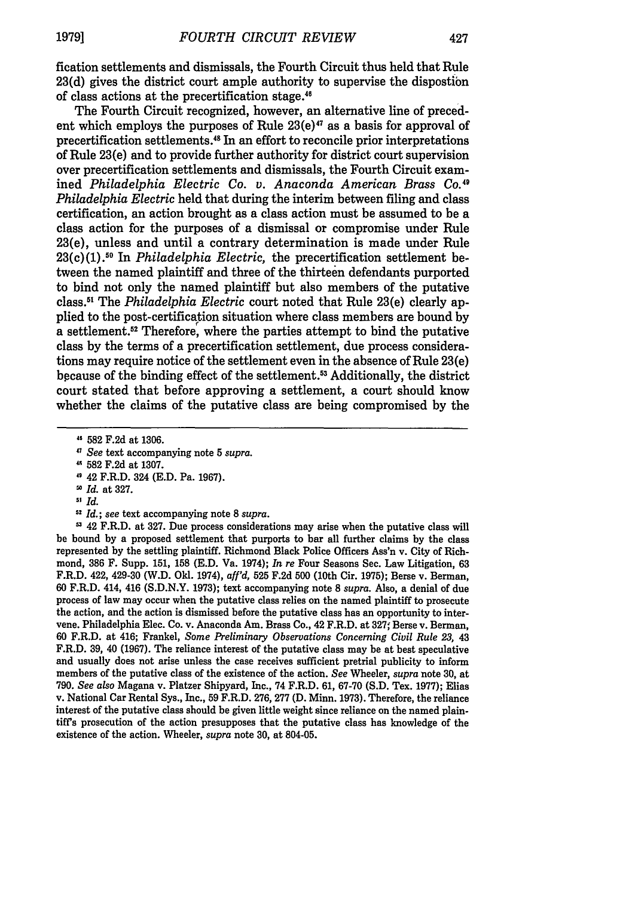fication settlements and dismissals, the Fourth Circuit thus held that Rule 23(d) gives the district court ample authority to supervise the dispostibn of class actions at the precertification stage."

The Fourth Circuit recognized, however, an alternative line of precedent which employs the purposes of Rule  $23(e)^{47}$  as a basis for approval of precertification settlements." In an effort to reconcile prior interpretations of Rule 23(e) and to provide further authority for district court supervision over precertification settlements and dismissals, the Fourth Circuit examined *Philadelphia Electric Co. v. Anaconda American Brass Co." Philadelphia Electric* held that during the interim between filing and class certification, an action brought as a class action must be assumed to be a class action for the purposes of a dismissal or compromise under Rule 23(e), unless and until a contrary determination is made under Rule 23(c)(1).10 In *Philadelphia Electric,* the precertification settlement between the named plaintiff and three of the thirteen defendants purported to bind not only the named plaintiff but also members of the putative class." The *Philadelphia Electric* court noted that Rule 23(e) clearly applied to the post-certification situation where class members are bound by a settlement.<sup>52</sup> Therefore, where the parties attempt to bind the putative class by the terms of a precertification settlement, due process considerations may require notice of the settlement even in the absence of Rule 23(e) bpcause of the binding effect of the settlement.53 Additionally, the district court stated that before approving a settlement, a court should know whether the claims of the putative class are being compromised by the

*" See* text accompanying note 5 *supra.*

- 42 F.R.D. 324 (E.D. Pa. 1967).
- *" Id.* at 327.
- *5' Id.*
- **<sup>52</sup>***Id.; see* text accompanying note 8 *supra.*

**0** 42 F.R.D. at 327. Due process considerations may arise when the putative class will be bound by a proposed settlement that purports to bar all further claims by the class represented by the settling plaintiff. Richmond Black Police Officers Ass'n v. City of Richmond, 386 F. Supp. 151, 158 (E.D. Va. 1974); *In re* Four Seasons Sec. Law Litigation, 63 F.R.D. 422, 429-30 (W.D. Old. 1974), *affl'd,* **525** F.2d 500 (10th Cir. 1975); Berse v. Berman, 60 F.R.D. 414, 416 (S.D.N.Y. 1973); text accompanying note 8 *supra.* Also, a denial of due process of law may occur when the putative class relies on the named plaintiff to prosecute the action, and the action is dismissed before the putative class has an opportunity to intervene. Philadelphia Elec. Co. v. Anaconda Am. Brass Co., 42 F.R.D. at 327; Berse v. Berman, 60 F.R.D. at 416; Frankel, *Some Preliminary Observations Concerning Civil Rule 23,* 43 F.R.D. **39,** 40 (1967). The reliance interest of the putative class may be at best speculative and usually does not arise unless the case receives sufficient pretrial publicity to inform members of the putative class of the existence of the action. *See* Wheeler, *supra* note 30, at 790. *See also* Magana v. Platzer Shipyard, Inc., 74 F.R.D. 61, 67-70 (S.D. Tex. 1977); Elias v. National Car Rental Sys., Inc., 59 F.R.D. 276, 277 (D. Minn. 1973). Therefore, the reliance interest of the putative class should be given little weight since reliance on the named plaintiff's prosecution of the action presupposes that the putative class has knowledge of the existence of the action. Wheeler, *supra* note **30,** at 804-05.

**<sup>582</sup>** F.2d at 1306.

**<sup>&#</sup>x27;** 582 F.2d at 1307.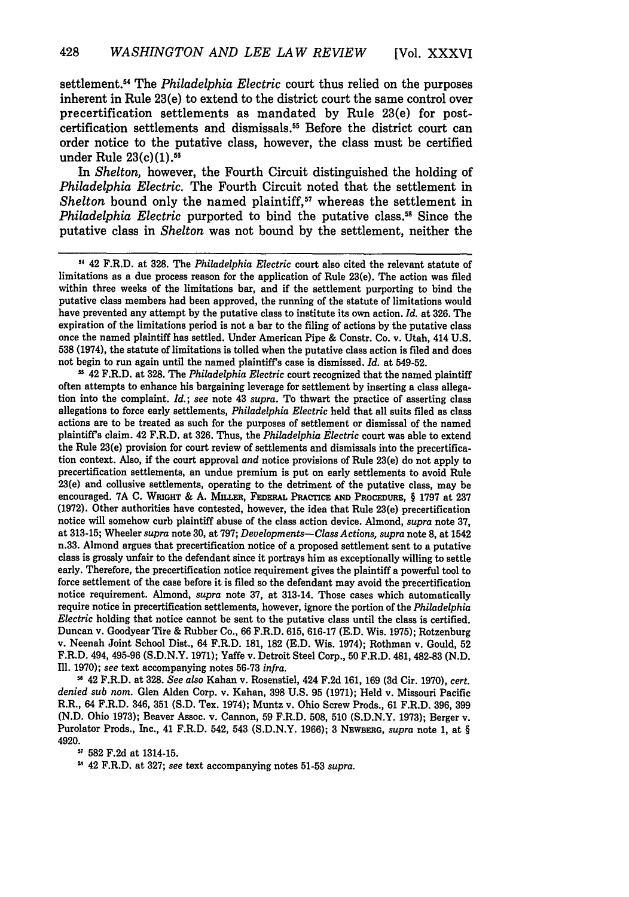settlement.14 The *Philadelphia Electric* court thus relied on the purposes inherent in Rule 23(e) to extend to the district court the same control over precertification settlements as mandated by Rule 23(e) for postcertification settlements and dismissals.55 Before the district court can order notice to the putative class, however, the class must be certified under Rule  $23(c)(1)$ .<sup>56</sup>

In *Shelton,* however, the Fourth Circuit distinguished the holding of *Philadelphia Electric.* The Fourth Circuit noted that the settlement in *Shelton* bound only the named plaintiff,<sup>57</sup> whereas the settlement in *Philadelphia Electric* purported to bind the putative class.<sup>58</sup> Since the putative class in *Shelton* was not bound by the settlement, neither the

not begin to run again until the named plaintiff's case is dismissed. *Id.* at 549-52. **-** 42 F.R.D. at **328.** The *Philadelphia Electric* court recognized that the named plaintiff often attempts to enhance his bargaining leverage for settlement **by** inserting a class allegation into the complaint. *Id.; see* note 43 *supra.* To thwart the practice of asserting class allegations to force early settlements, *Philadelphia Electric* held that all suits filed as class actions are to be treated as such for the purposes of settlement or dismissal of the named plaintiff's claim. 42 F.R.D. at **326.** Thus, the *Philadelphia Electric* court was able to extend the Rule 23(e) provision for court review of settlements and dismissals into the precertification context. Also, if the court approval *and* notice provisions of Rule 23(e) do not apply to precertification settlements, an undue premium is put on early settlements to avoid Rule 23(e) and collusive settlements, operating to the detriment of the putative class, may be encouraged. **7A** C. W **RGHT** & **A.** MuisF, **FEDERAL PRACTIE AND PROCEDURE,** § **1797** at **237 (1972).** Other authorities have contested, however, the idea that Rule 23(e) precertification notice will somehow curb plaintiff abuse of the class action device. Almond, *supra* note **37,** at **313-15;** Wheeler *supra* note **30,** at **797;** *Developments-Class Actions, supra* note 8, at 1542 n.33. Almond argues that precertification notice of a proposed settlement sent to a putative class is grossly unfair to the defendant since it portrays him as exceptionally willing to settle early. Therefore, the precertification notice requirement gives the plaintiff a powerful tool to force settlement of the case before it is filed so the defendant may avoid the precertification notice requirement. Almond, *supra* note **37,** at 313-14. Those cases which automatically require notice in precertification settlements, however, ignore the portion of the *Philadelphia Electric* holding that notice cannot be sent to the putative class until the class is certified. Duncan v. Goodyear Tire & Rubber Co., **66** F.R.D. 615, 616-17 (E.D. Wis. 1975); Rotzenburg v. Neenah Joint School Dist., 64 F.R.D. 181, **182** (E.D. Wis. 1974); Rothman v. Gould, 52 F.R.D. 494, **495-96** (S.D.N.Y. 1971); Yaffe v. Detroit Steel Corp., **50** F.R.D. 481, 482-83 (N.D. Ill. 1970); *see* text accompanying notes **56-73** *infra.*

" 42 F.R.D. at 328. *See also* Kahan v. Rosenstiel, 424 F.2d 161, 169 **(3d** Cir. 1970), *cert. denied sub nom.* Glen Alden Corp. v. Kahan, **398** U.S. **95 (1971);** Held v. Missouri Pacific R.R., 64 F.R.D. 346, **351** (S.D. Tex. 1974); Muntz v. Ohio Screw Prods., **61** F.R.D. **396, 399** (N.D. Ohio **1973);** Beaver Assoc. v. Cannon, **59** F.R.D. **508, 510** (S.D.N.Y. **1973);** Berger v. Purolator Prods., Inc., 41 F.R.D. 542, 543 (S.D.N.Y. **1966); 3** NEWBERG, *supra* note 1, at § 4920.

**582** F.2d at 1314-15.

42 F.R.D. at **327;** *see* text accompanying notes **51-53** *supra.*

**<sup>51</sup>** 42 F.R.D. **at 328.** The *Philadelphia Electric* court also cited the relevant statute of limitations as a due process reason for the application of Rule 23(e). The action was filed within three weeks of the limitations bar, and if the settlement purporting to bind the putative class members had been approved, the running of the statute of limitations would have prevented any attempt **by** the putative class to institute its own action. *Id.* at **326.** The expiration of the limitations period is not a bar to the filing of actions **by** the putative class once the named plaintiff has settled. Under American Pipe **&** Constr. Co. **v.** Utah, 414 **U.S. 538** (1974), the statute of limitations is tolled when the putative class action is filed and does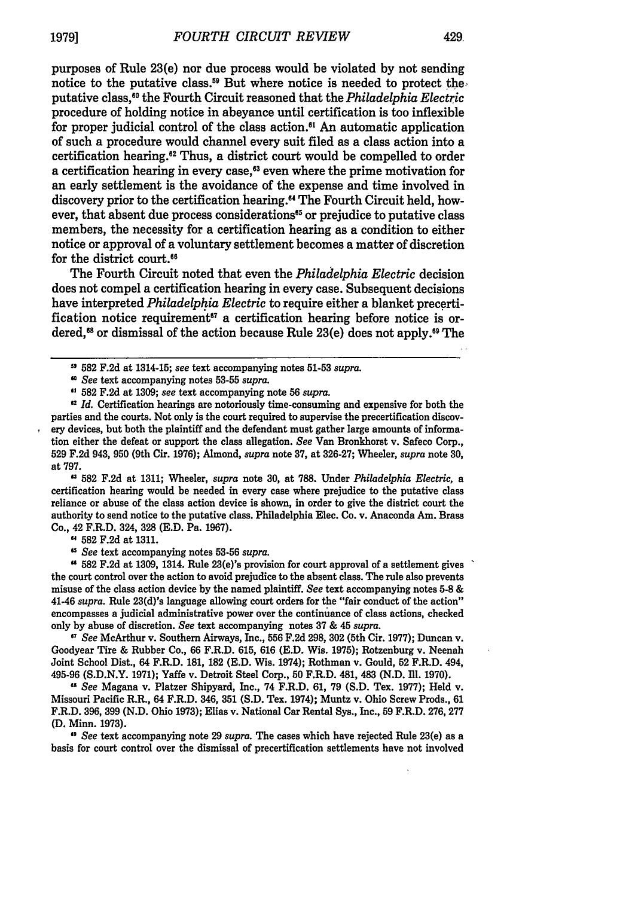purposes of Rule 23(e) nor due process would be violated **by** not sending notice to the putative class.<sup>59</sup> But where notice is needed to protect the. putative class,"0 the Fourth Circuit reasoned that the *Philadelphia Electric* procedure of holding notice in abeyance until certification is too inflexible for proper judicial control of the class action.<sup>61</sup> An automatic application of such a procedure would channel every suit filed as a class action into a certification hearing."2 Thus, a district court would be compelled to order a certification hearing in every case,<sup>63</sup> even where the prime motivation for an early settlement is the avoidance of the expense and time involved in discovery prior to the certification hearing."' The Fourth Circuit held, however, that absent due process considerations<sup>65</sup> or prejudice to putative class members, the necessity for a certification hearing as a condition to either notice or approval of a voluntary settlement becomes a matter of discretion for the district court.<sup>66</sup>

The Fourth Circuit noted that even the *Philadelphia Electric* decision does not compel a certification hearing in every case. Subsequent decisions have interpreted *Philadelphia Electric* to require either a blanket precertification notice requirement<sup>67</sup> a certification hearing before notice is ordered,<sup>68</sup> or dismissal of the action because Rule 23(e) does not apply.<sup>59</sup> The

*See* text accompanying notes 53-55 *supra.*

**<sup>62</sup>582** F.2d at 1309; *see* text accompanying note **56** *supra.*

<sup>a</sup>**582** F.2d at 1311; Wheeler, *supra* note 30, at 788. Under *Philadelphia Electric,* a certification hearing would be needed in every case where prejudice to the putative class reliance or abuse of the class action device is shown, in order to give the district court the authority to send notice to the putative class. Philadelphia Elec. Co. v. Anaconda Am. Brass Co., 42 F.R.D. 324, 328 (E.D. Pa. 1967).

**"** 582 F.2d at 1311.

*See* text accompanying notes 53-56 *supra.*

**" 582** F.2d at 1309, 1314. Rule 23(e)'s provision for court approval of a settlement gives the court control over the action to avoid prejudice to the absent class. The rule also prevents misuse of the class action device by the named plaintiff. *See* text accompanying notes **5-8** & 41-46 *supra.* Rule 23(d)'s language allowing court orders for the "fair conduct of the action" encompasses a judicial administrative power over the continuance of class actions, checked only by abuse of discretion. *See* text accompanying notes 37 & 45 *supra.*

**<sup>7</sup>***See* McArthur v. Southern Airways, Inc., 556 F.2d 298, **302** (5th Cir. 1977); Duncan v. Goodyear Tire & Rubber Co., 66 F.R.D. 615, 616 (E.D. Wis. 1975); Rotzenburg v. Neenah Joint School Dist., 64 F.R.D. 181, **182** (E.D. Wis. 1974); Rothman v. Gould, 52 F.R.D. 494, 495-96 (S.D.N.Y. 1971); Yaffe v. Detroit Steel Corp., 50 F.R.D. 481, 483 (N.D. Ill. 1970).

**"** *See* Magana v. Platzer Shipyard, Inc., 74 F.R.D. 61, 79 (S.D. Tex. 1977); Held v. Missouri Pacific R.R., 64 F.R.D. 346, **351 (S.D.** Tex. 1974); Muntz v. Ohio Screw Prods., 61 F.R.D. 396, 399 (N.D. Ohio 1973); Elias v. National Car Rental Sys., Inc., **59** F.R.D. 276, 277 **(D.** Minn. 1973).

**"** *See* text accompanying note 29 *supra.* The cases which have rejected Rule 23(e) as a basis for court control over the dismissal of precertification settlements have not involved

<sup>5,</sup> **582** F.2d at 1314-15; *see* text accompanying notes 51-53 *supra.*

**<sup>£2</sup>** *Id.* Certification hearings are notoriously time-consuming and expensive for both the parties and the courts. Not only is the court required to supervise the precertification discovery devices, but both the plaintiff and the defendant must gather large amounts of information either the defeat or support the class allegation. *See* Van Bronkhorst v. Safeco Corp., 529 F.2d 943, **950** (9th Cir. 1976); Almond, *supra* note **37,** at 326-27; Wheeler, *supra* note **30,** at 797.